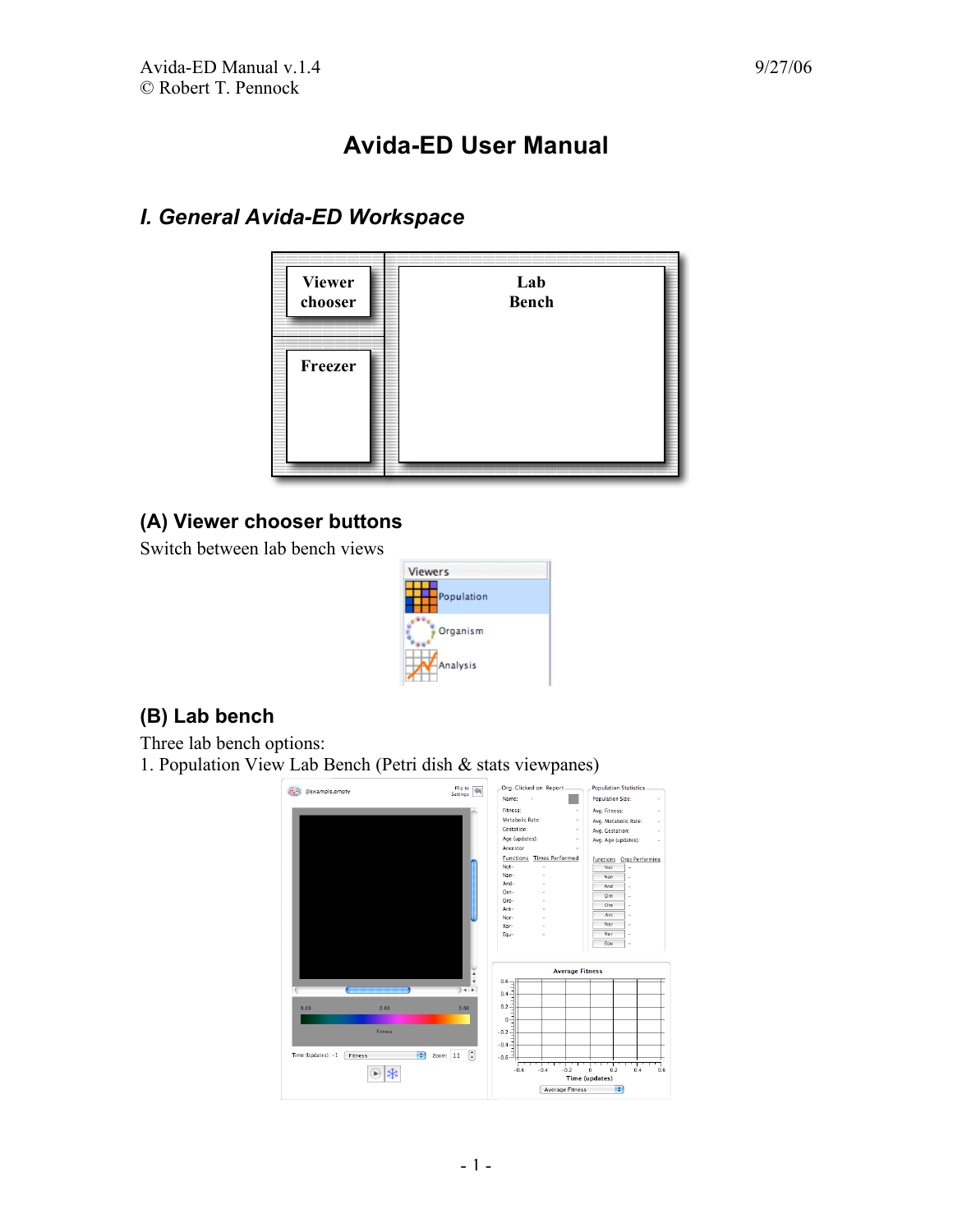# **Avida-ED User Manual**

# *I. General Avida-ED Workspace*



# **(A) Viewer chooser buttons**

Switch between lab bench views



## **(B) Lab bench**

Three lab bench options: 1. Population View Lab Bench (Petri dish & stats viewpanes)

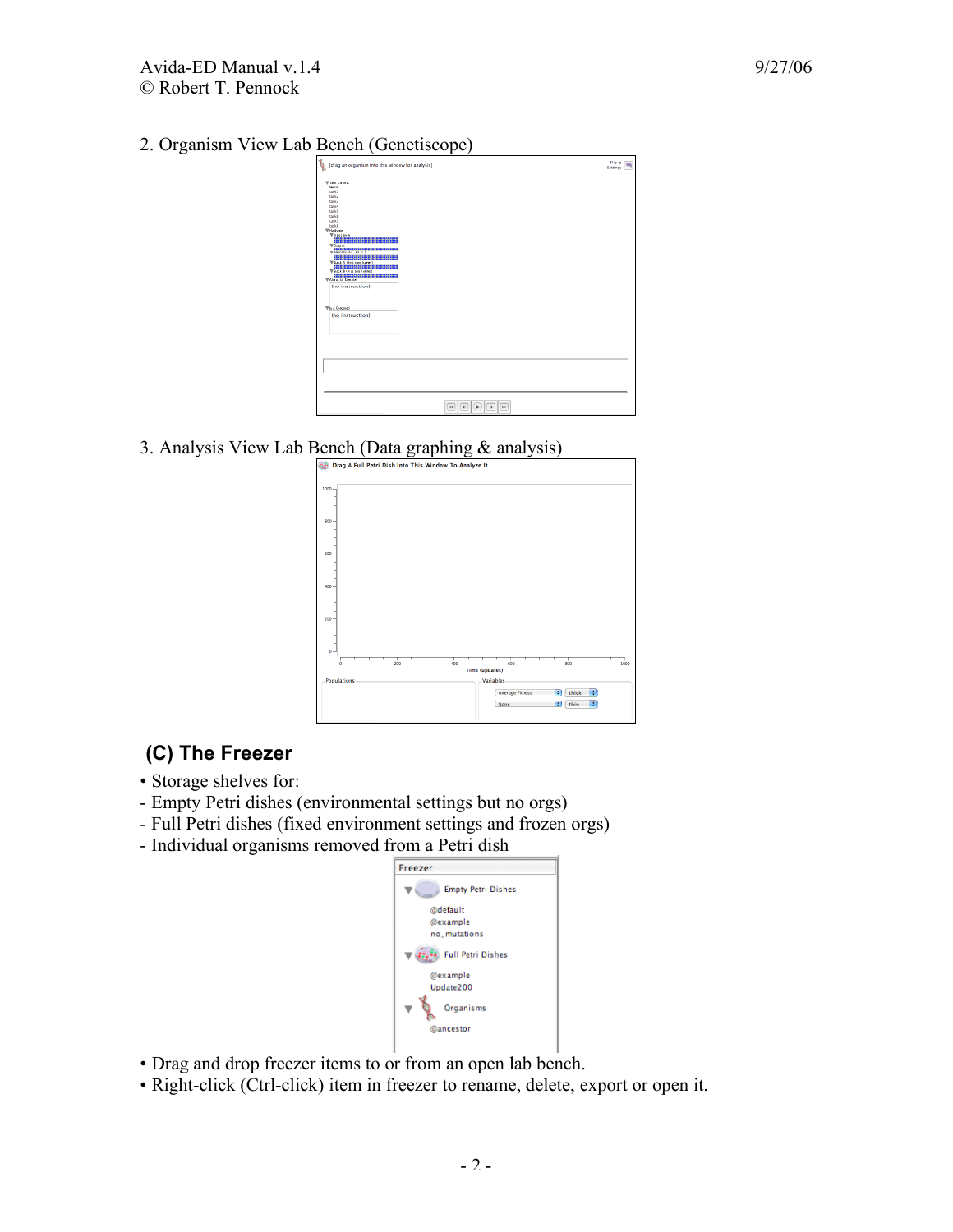2. Organism View Lab Bench (Genetiscope)



3. Analysis View Lab Bench (Data graphing  $\&$  analysis)



## **(C) The Freezer**

- Storage shelves for:
- Empty Petri dishes (environmental settings but no orgs)
- Full Petri dishes (fixed environment settings and frozen orgs)
- Individual organisms removed from a Petri dish



- Drag and drop freezer items to or from an open lab bench.
- Right-click (Ctrl-click) item in freezer to rename, delete, export or open it.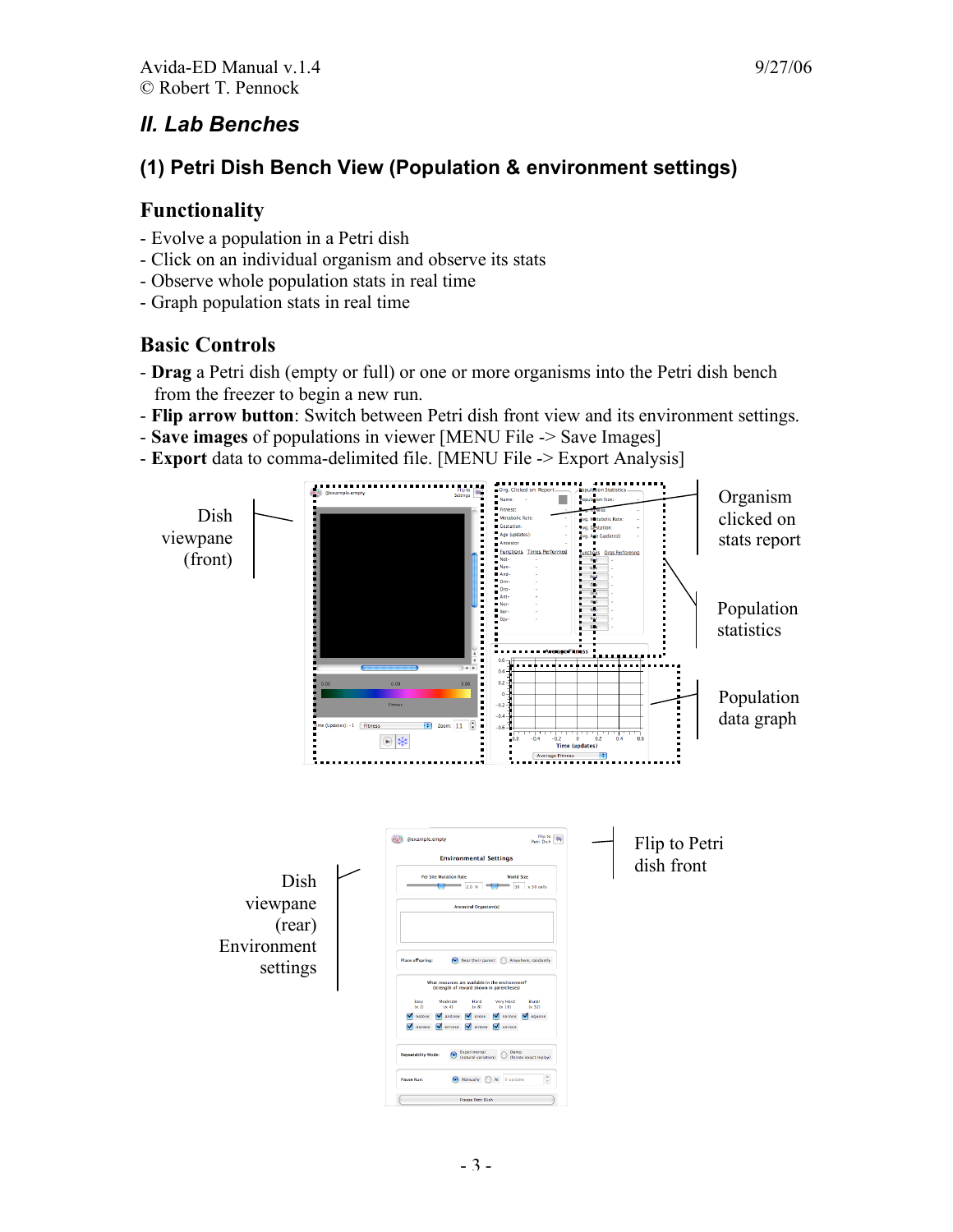# *II. Lab Benches*

# **(1) Petri Dish Bench View (Population & environment settings)**

#### **Functionality**

- Evolve a population in a Petri dish
- Click on an individual organism and observe its stats
- Observe whole population stats in real time
- Graph population stats in real time

## **Basic Controls**

- **Drag** a Petri dish (empty or full) or one or more organisms into the Petri dish bench from the freezer to begin a new run.
- **Flip arrow button**: Switch between Petri dish front view and its environment settings.
- **Save images** of populations in viewer [MENU File -> Save Images]
- **Export** data to comma-delimited file. [MENU File -> Export Analysis]

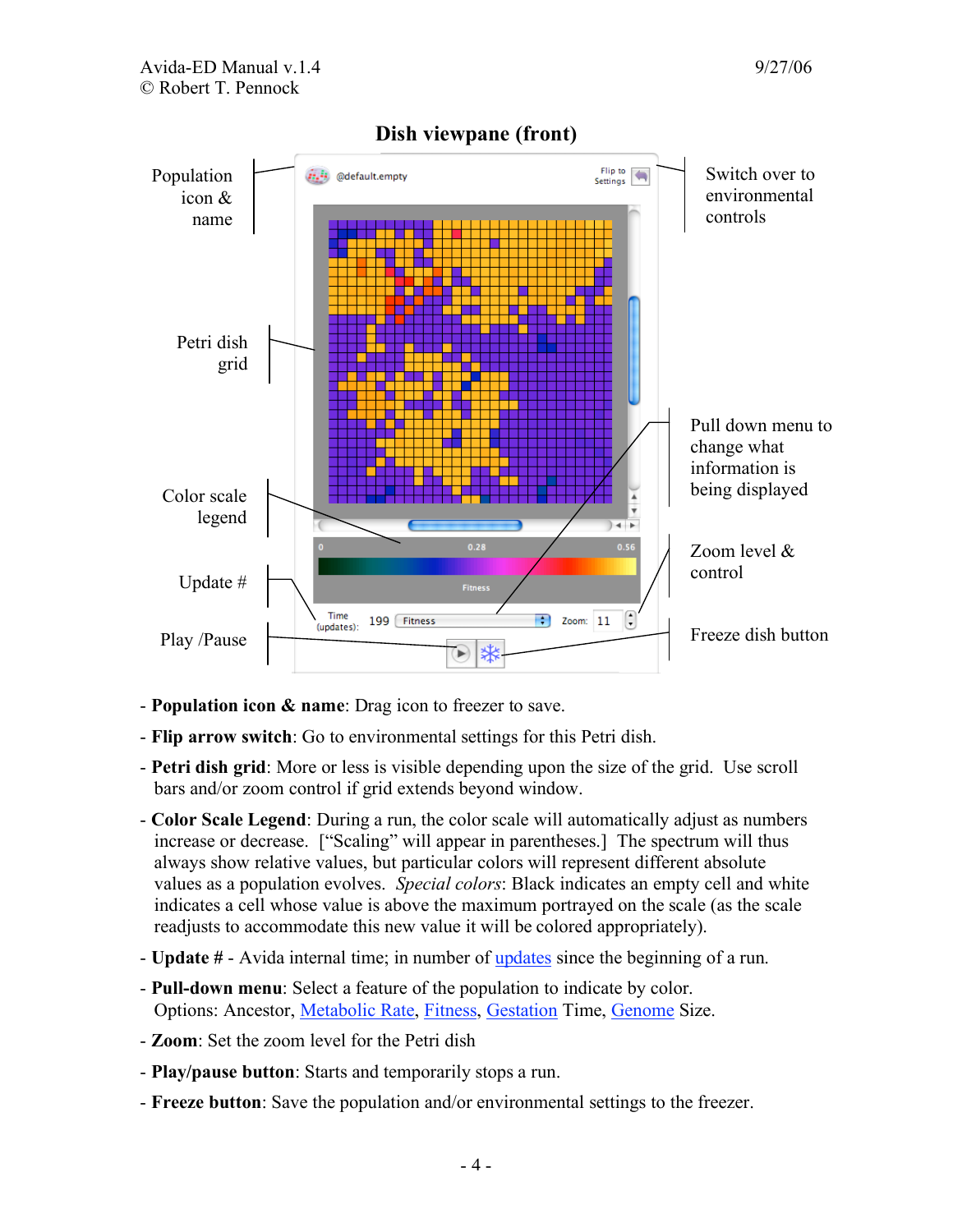

- **Population icon & name**: Drag icon to freezer to save.
- **Flip arrow switch**: Go to environmental settings for this Petri dish.
- **Petri dish grid**: More or less is visible depending upon the size of the grid. Use scroll bars and/or zoom control if grid extends beyond window.
- **Color Scale Legend**: During a run, the color scale will automatically adjust as numbers increase or decrease. ["Scaling" will appear in parentheses.] The spectrum will thus always show relative values, but particular colors will represent different absolute values as a population evolves. *Special colors*: Black indicates an empty cell and white indicates a cell whose value is above the maximum portrayed on the scale (as the scale readjusts to accommodate this new value it will be colored appropriately).
- **Update #** Avida internal time; in number of updates since the beginning of a run.
- **Pull-down menu**: Select a feature of the population to indicate by color. Options: Ancestor, Metabolic Rate, Fitness, Gestation Time, Genome Size.
- **Zoom**: Set the zoom level for the Petri dish
- **Play/pause button**: Starts and temporarily stops a run.
- **Freeze button**: Save the population and/or environmental settings to the freezer.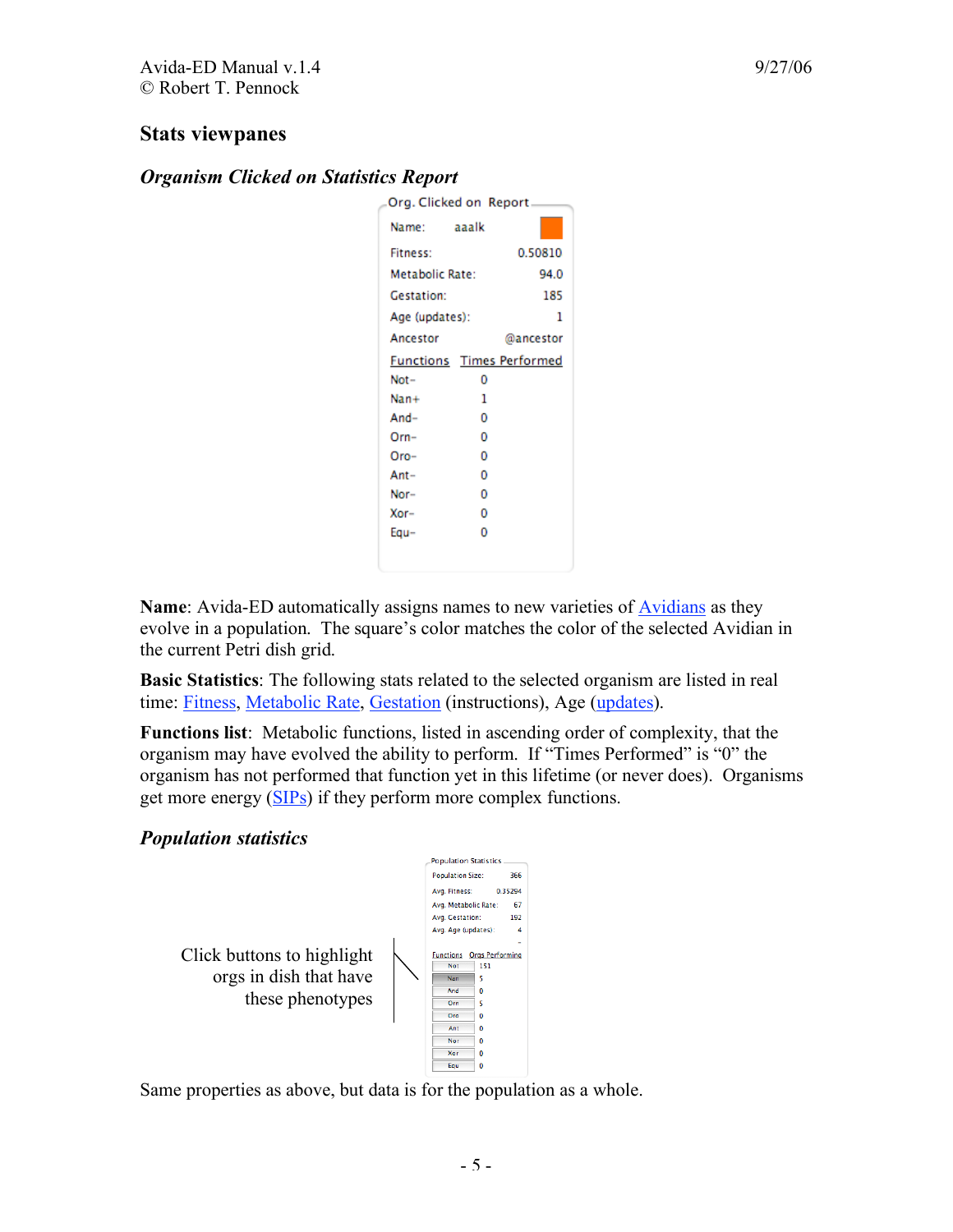#### **Stats viewpanes**

#### *Organism Clicked on Statistics Report*

| Org. Clicked on Report_          |   |           |
|----------------------------------|---|-----------|
| Name: aaalk                      |   |           |
| <b>Fitness:</b>                  |   | 0.50810   |
| Metabolic Rate:                  |   | 94.0      |
| <b>Gestation:</b>                |   | 185       |
| Age (updates):                   |   | 1         |
| Ancestor                         |   | @ancestor |
| <b>Functions</b> Times Performed |   |           |
| Not-                             | n |           |
| Nan+                             | 1 |           |
| $And-$                           | o |           |
| $Orn-$                           | 0 |           |
| $Oro-$                           | 0 |           |
| Ant-                             | o |           |
| Nor-                             | 0 |           |
| Xor-                             | 0 |           |
| Equ-                             | n |           |
|                                  |   |           |
|                                  |   |           |

**Name**: Avida-ED automatically assigns names to new varieties of Avidians as they evolve in a population. The square's color matches the color of the selected Avidian in the current Petri dish grid.

**Basic Statistics**: The following stats related to the selected organism are listed in real time: Fitness, Metabolic Rate, Gestation (instructions), Age (updates).

**Functions list**: Metabolic functions, listed in ascending order of complexity, that the organism may have evolved the ability to perform. If "Times Performed" is "0" the organism has not performed that function yet in this lifetime (or never does). Organisms get more energy (SIPs) if they perform more complex functions.

#### *Population statistics*

Click buttons to highlight orgs in dish that have these phenotypes



Same properties as above, but data is for the population as a whole.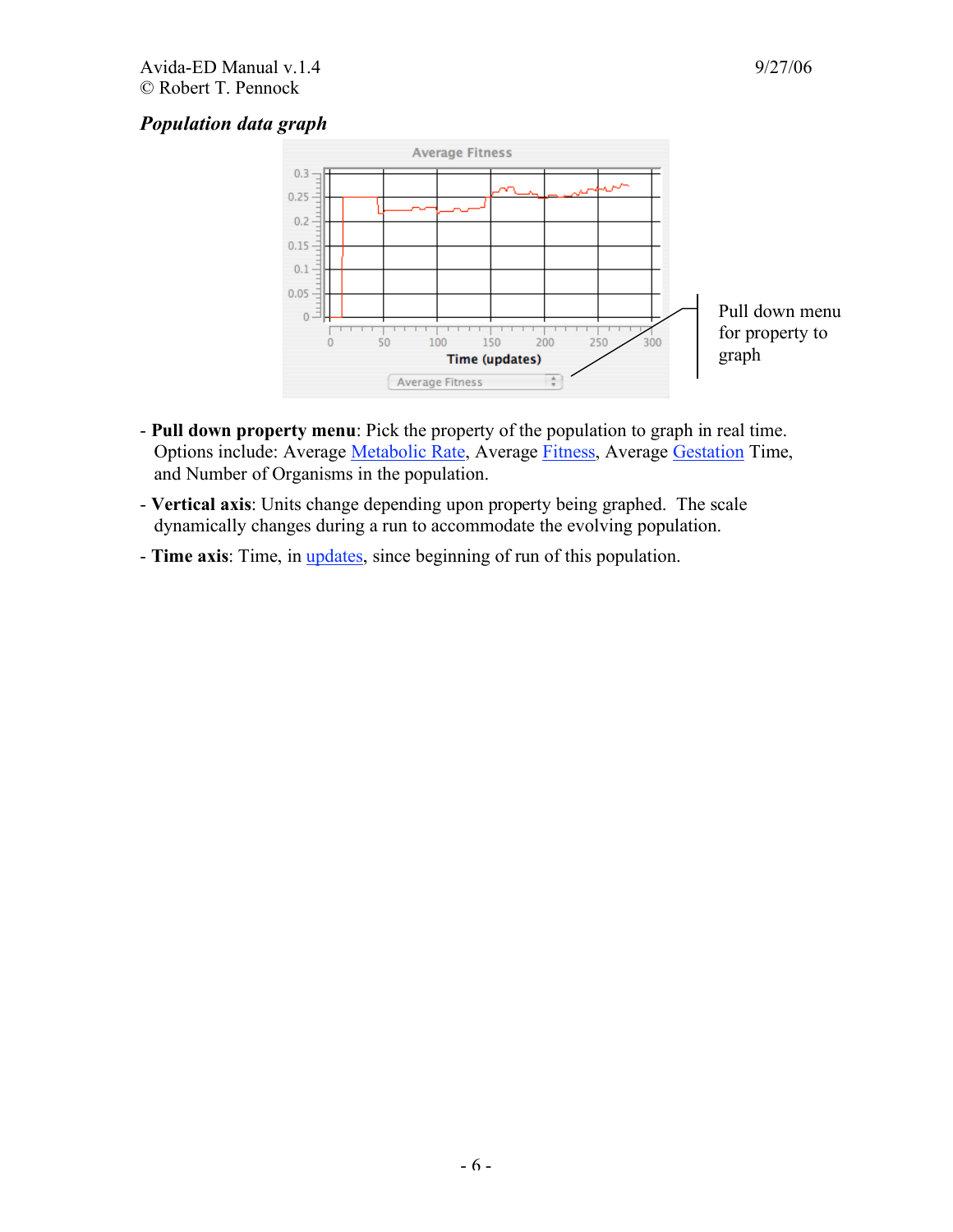#### *Population data graph*



- **Pull down property menu**: Pick the property of the population to graph in real time. Options include: Average Metabolic Rate, Average Fitness, Average Gestation Time, and Number of Organisms in the population.
- **Vertical axis**: Units change depending upon property being graphed. The scale dynamically changes during a run to accommodate the evolving population.
- **Time axis**: Time, in updates, since beginning of run of this population.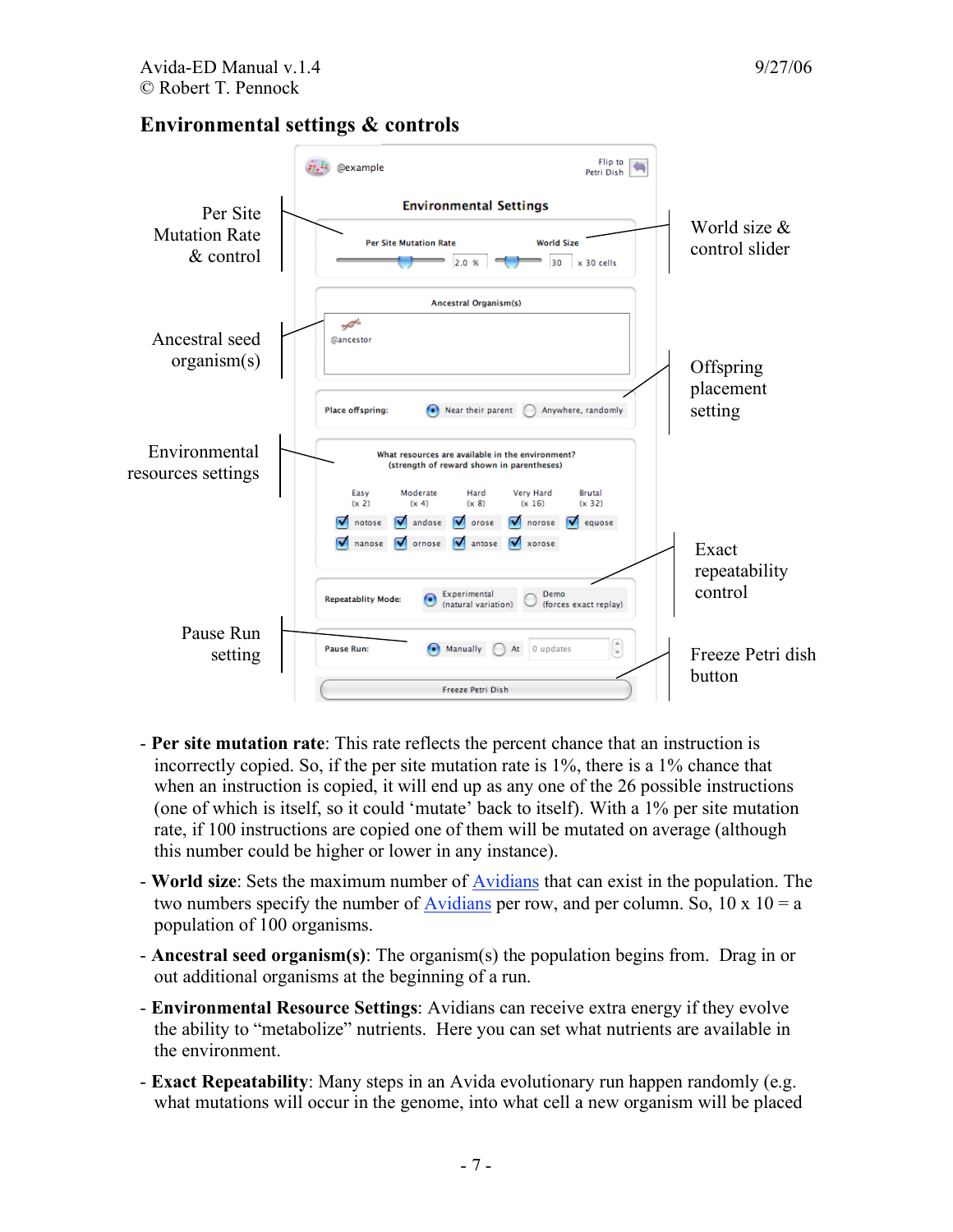#### **Environmental settings & controls**



- **Per site mutation rate**: This rate reflects the percent chance that an instruction is incorrectly copied. So, if the per site mutation rate is 1%, there is a 1% chance that when an instruction is copied, it will end up as any one of the 26 possible instructions (one of which is itself, so it could 'mutate' back to itself). With a 1% per site mutation rate, if 100 instructions are copied one of them will be mutated on average (although this number could be higher or lower in any instance).
- **World size**: Sets the maximum number of Avidians that can exist in the population. The two numbers specify the number of Avidians per row, and per column. So,  $10 \times 10 = a$ population of 100 organisms.
- **Ancestral seed organism(s)**: The organism(s) the population begins from. Drag in or out additional organisms at the beginning of a run.
- **Environmental Resource Settings**: Avidians can receive extra energy if they evolve the ability to "metabolize" nutrients. Here you can set what nutrients are available in the environment.
- **Exact Repeatability**: Many steps in an Avida evolutionary run happen randomly (e.g. what mutations will occur in the genome, into what cell a new organism will be placed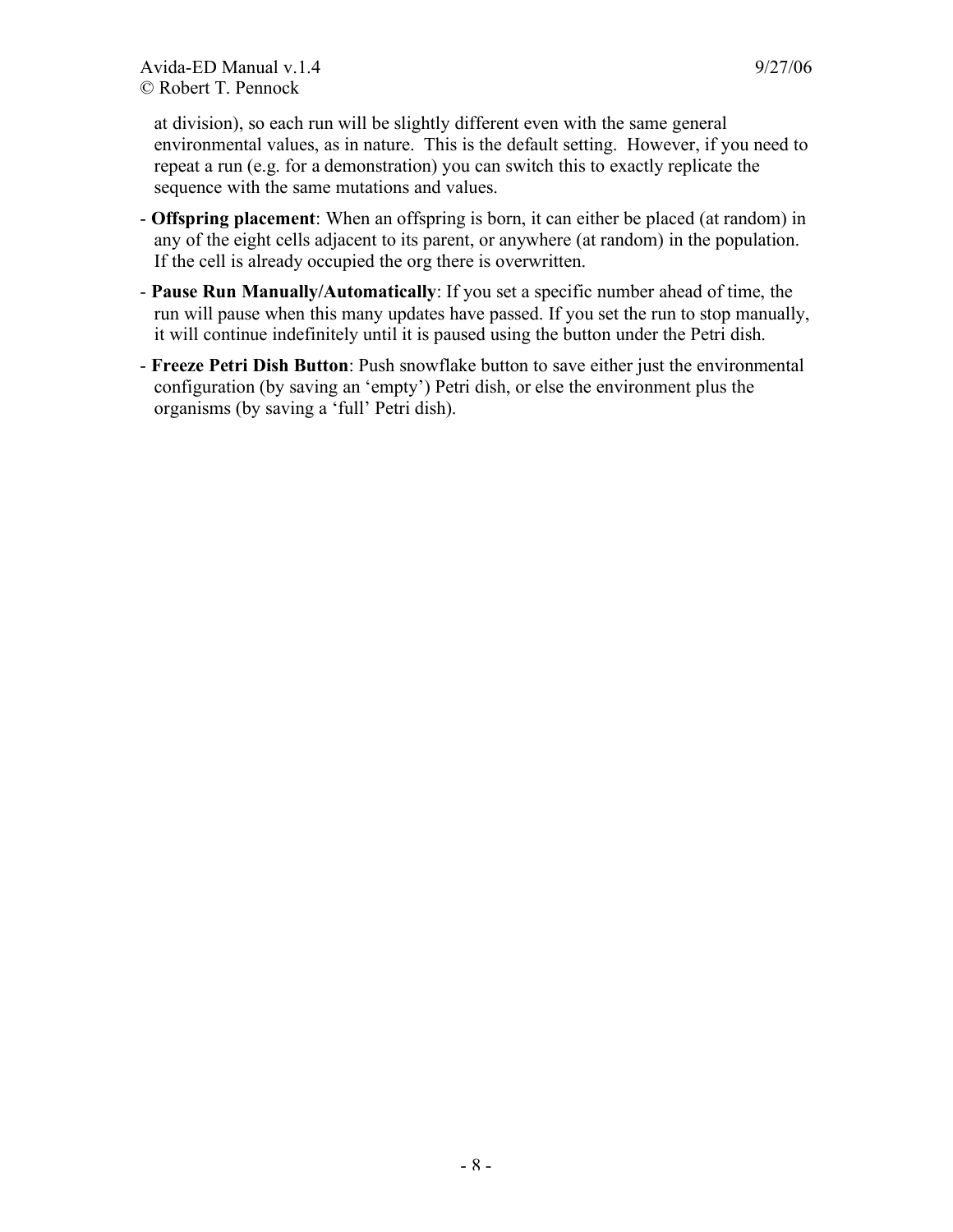at division), so each run will be slightly different even with the same general environmental values, as in nature. This is the default setting. However, if you need to repeat a run (e.g. for a demonstration) you can switch this to exactly replicate the sequence with the same mutations and values.

- **Offspring placement**: When an offspring is born, it can either be placed (at random) in any of the eight cells adjacent to its parent, or anywhere (at random) in the population. If the cell is already occupied the org there is overwritten.
- **Pause Run Manually/Automatically**: If you set a specific number ahead of time, the run will pause when this many updates have passed. If you set the run to stop manually, it will continue indefinitely until it is paused using the button under the Petri dish.
- **Freeze Petri Dish Button**: Push snowflake button to save either just the environmental configuration (by saving an 'empty') Petri dish, or else the environment plus the organisms (by saving a 'full' Petri dish).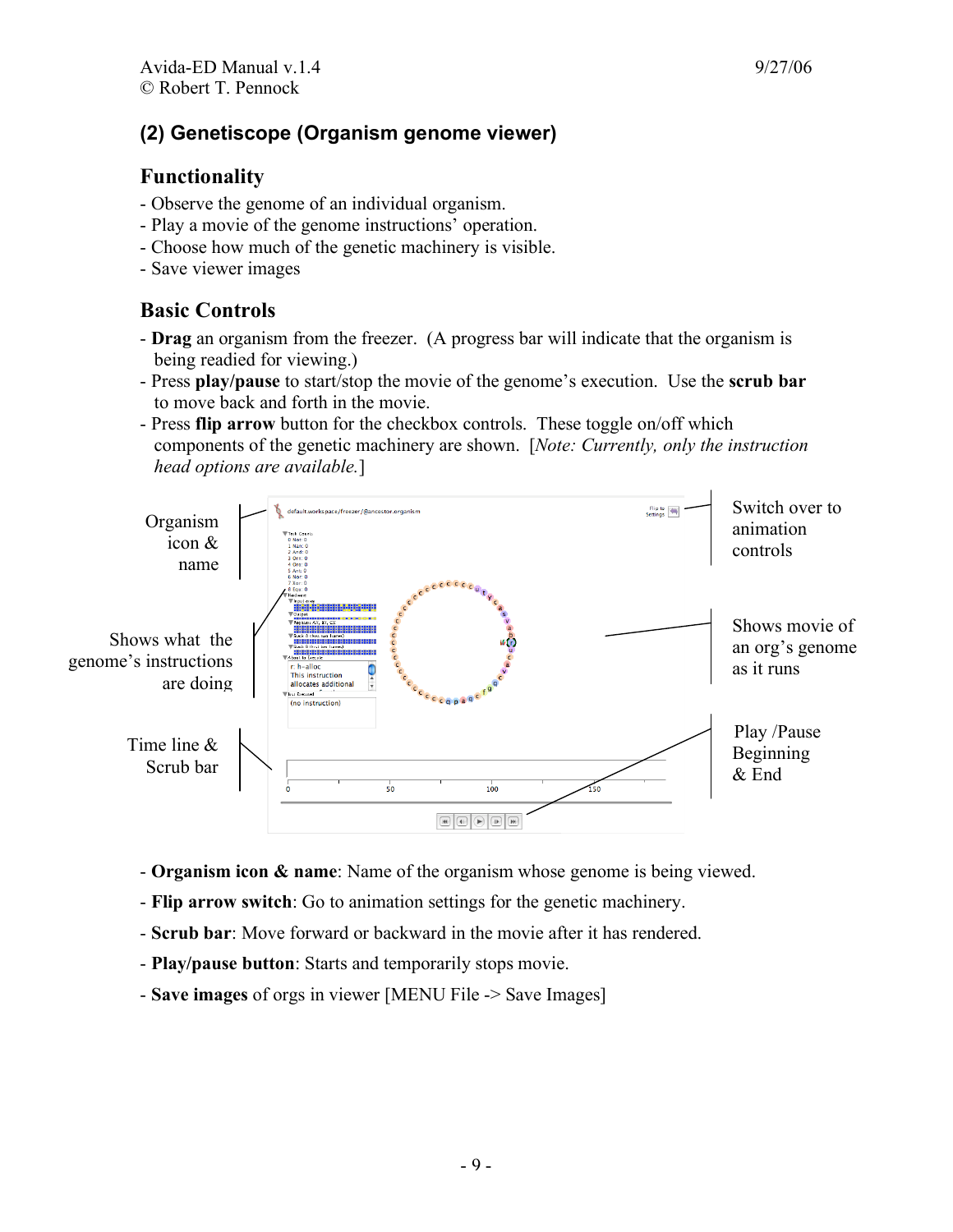# **(2) Genetiscope (Organism genome viewer)**

#### **Functionality**

- Observe the genome of an individual organism.
- Play a movie of the genome instructions' operation.
- Choose how much of the genetic machinery is visible.
- Save viewer images

# **Basic Controls**

- **Drag** an organism from the freezer. (A progress bar will indicate that the organism is being readied for viewing.)
- Press **play/pause** to start/stop the movie of the genome's execution. Use the **scrub bar** to move back and forth in the movie.
- Press **flip arrow** button for the checkbox controls. These toggle on/off which components of the genetic machinery are shown. [*Note: Currently, only the instruction head options are available.*]



- **Organism icon & name**: Name of the organism whose genome is being viewed.
- **Flip arrow switch**: Go to animation settings for the genetic machinery.
- **Scrub bar**: Move forward or backward in the movie after it has rendered.
- **Play/pause button**: Starts and temporarily stops movie.
- **Save images** of orgs in viewer [MENU File -> Save Images]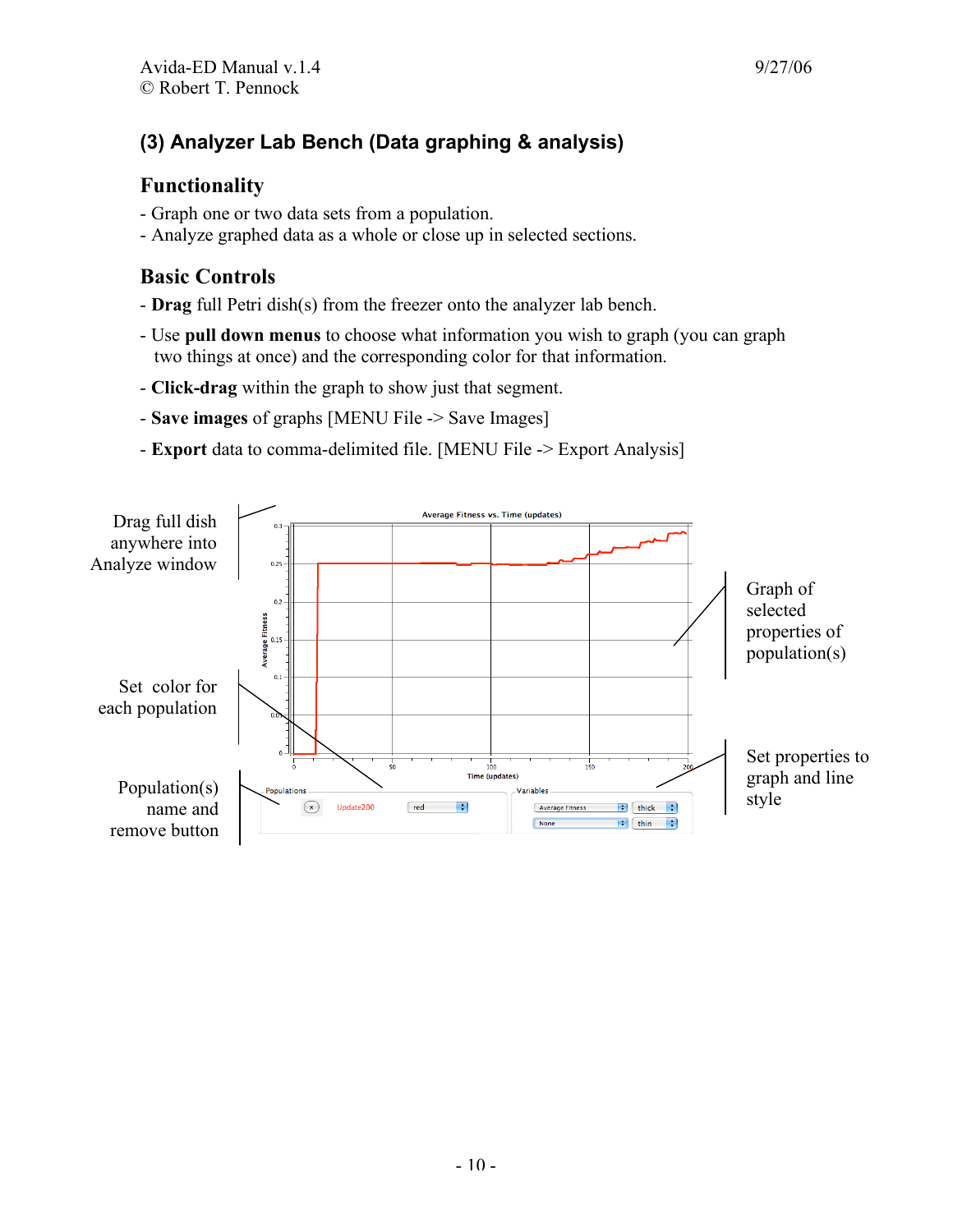# **(3) Analyzer Lab Bench (Data graphing & analysis)**

#### **Functionality**

- Graph one or two data sets from a population.
- Analyze graphed data as a whole or close up in selected sections.

# **Basic Controls**

- **Drag** full Petri dish(s) from the freezer onto the analyzer lab bench.
- Use **pull down menus** to choose what information you wish to graph (you can graph two things at once) and the corresponding color for that information.
- **Click-drag** within the graph to show just that segment.
- **Save images** of graphs [MENU File -> Save Images]
- **Export** data to comma-delimited file. [MENU File -> Export Analysis]

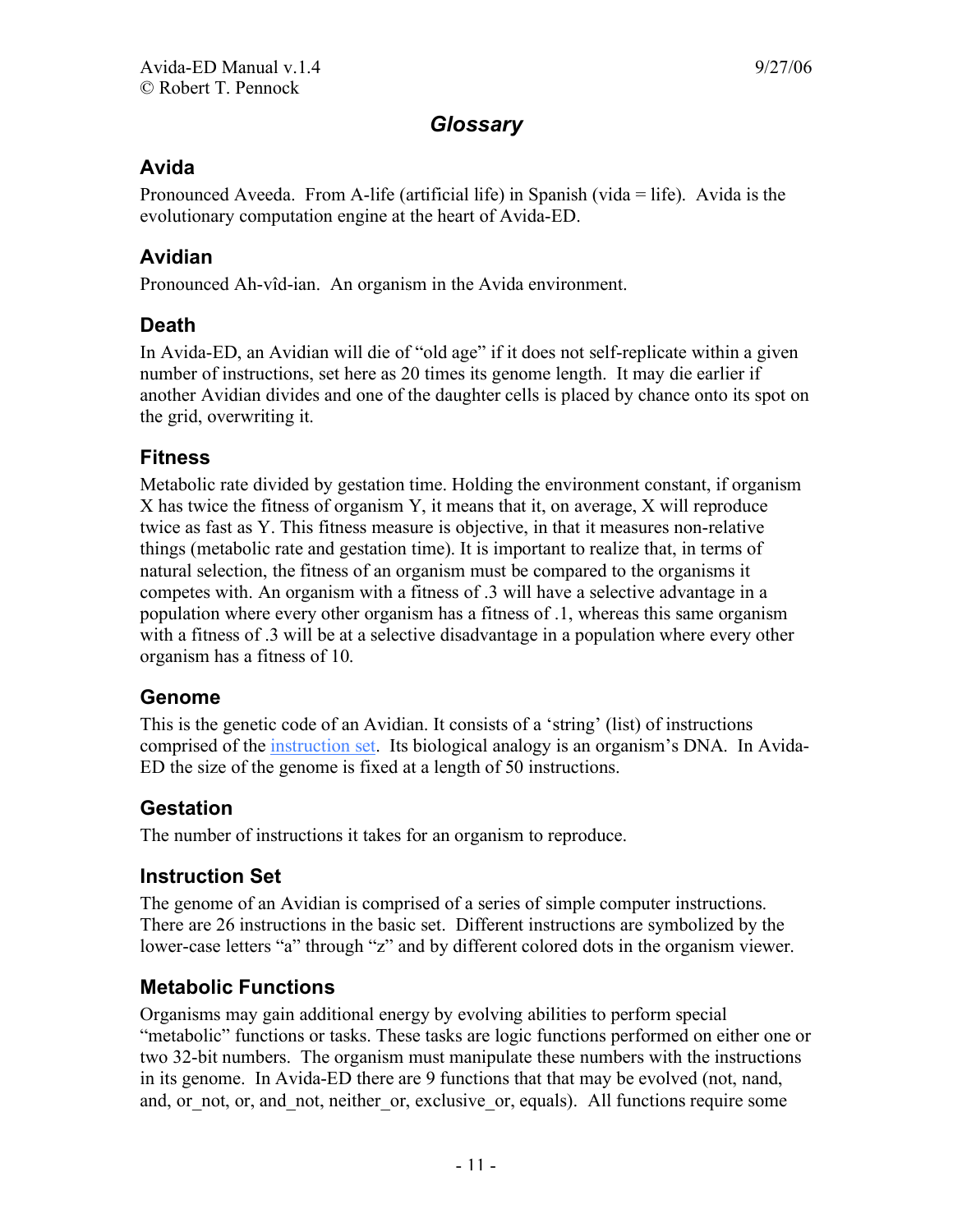# *Glossary*

#### **Avida**

Pronounced Aveeda. From A-life (artificial life) in Spanish (vida = life). Avida is the evolutionary computation engine at the heart of Avida-ED.

#### **Avidian**

Pronounced Ah-vîd-ian. An organism in the Avida environment.

#### **Death**

In Avida-ED, an Avidian will die of "old age" if it does not self-replicate within a given number of instructions, set here as 20 times its genome length. It may die earlier if another Avidian divides and one of the daughter cells is placed by chance onto its spot on the grid, overwriting it.

#### **Fitness**

Metabolic rate divided by gestation time. Holding the environment constant, if organism X has twice the fitness of organism Y, it means that it, on average, X will reproduce twice as fast as Y. This fitness measure is objective, in that it measures non-relative things (metabolic rate and gestation time). It is important to realize that, in terms of natural selection, the fitness of an organism must be compared to the organisms it competes with. An organism with a fitness of .3 will have a selective advantage in a population where every other organism has a fitness of .1, whereas this same organism with a fitness of .3 will be at a selective disadvantage in a population where every other organism has a fitness of 10.

#### **Genome**

This is the genetic code of an Avidian. It consists of a 'string' (list) of instructions comprised of the instruction set. Its biological analogy is an organism's DNA. In Avida-ED the size of the genome is fixed at a length of 50 instructions.

## **Gestation**

The number of instructions it takes for an organism to reproduce.

#### **Instruction Set**

The genome of an Avidian is comprised of a series of simple computer instructions. There are 26 instructions in the basic set. Different instructions are symbolized by the lower-case letters "a" through "z" and by different colored dots in the organism viewer.

#### **Metabolic Functions**

Organisms may gain additional energy by evolving abilities to perform special "metabolic" functions or tasks. These tasks are logic functions performed on either one or two 32-bit numbers. The organism must manipulate these numbers with the instructions in its genome. In Avida-ED there are 9 functions that that may be evolved (not, nand, and, or not, or, and not, neither or, exclusive or, equals). All functions require some